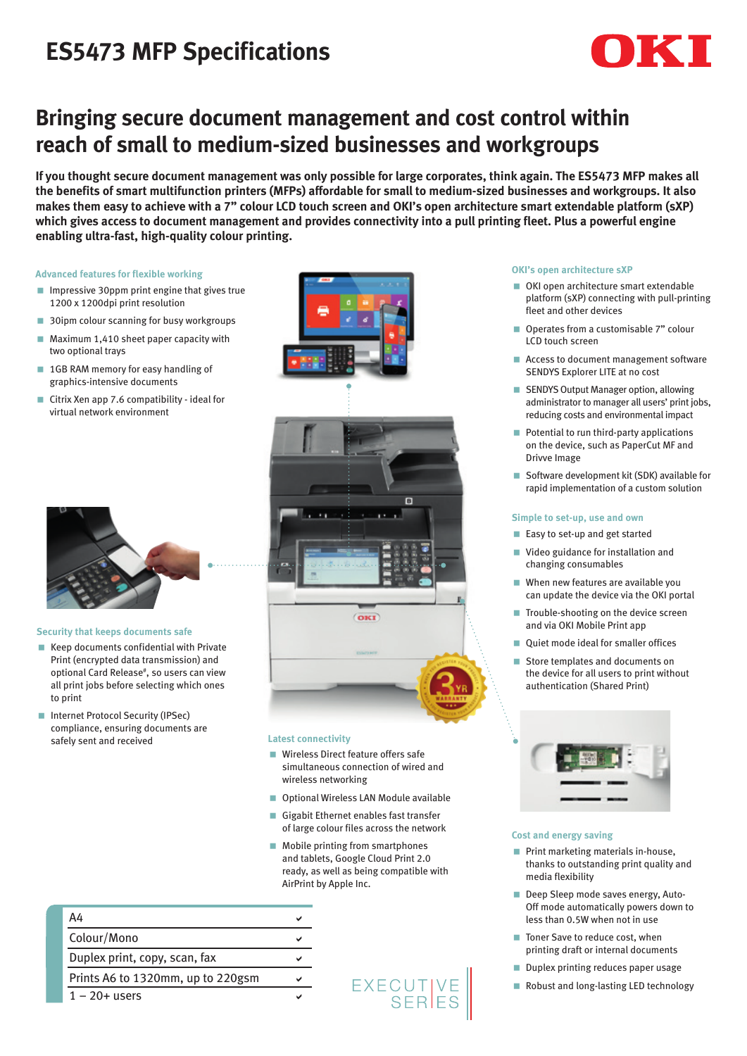# **ES5473 MFP Specifications**

# K

# **Bringing secure document management and cost control within reach of small to medium-sized businesses and workgroups**

**If you thought secure document management was only possible for large corporates, think again. The ES5473 MFP makes all the benefits of smart multifunction printers (MFPs) affordable for small to medium-sized businesses and workgroups. It also makes them easy to achieve with a 7" colour LCD touch screen and OKI's open architecture smart extendable platform (sXP) which gives access to document management and provides connectivity into a pull printing fleet. Plus a powerful engine enabling ultra-fast, high-quality colour printing.**

## **Advanced features for flexible working**

- **In Impressive 30ppm print engine that gives true** 1200 x 1200dpi print resolution
- 30ipm colour scanning for busy workgroups
- $\blacksquare$  Maximum 1,410 sheet paper capacity with two optional trays
- 1GB RAM memory for easy handling of graphics-intensive documents
- Citrix Xen app 7.6 compatibility ideal for virtual network environment



### **Security that keeps documents safe**

- < Keep documents confidential with Private Print (encrypted data transmission) and optional Card Release<sup>#</sup>, so users can view all print jobs before selecting which ones to print
- Internet Protocol Security (IPSec) compliance, ensuring documents are safely sent and received



### **Latest connectivity**

- Wireless Direct feature offers safe simultaneous connection of wired and wireless networking
- **Optional Wireless LAN Module available**
- Gigabit Ethernet enables fast transfer of large colour files across the network
- $\blacksquare$  Mobile printing from smartphones and tablets, Google Cloud Print 2.0 ready, as well as being compatible with AirPrint by Apple Inc.

# $A4$ Colour/Mono a Duplex print, copy, scan, fax  $\checkmark$ Prints A6 to 1320mm, up to 220gsm  $\vee$  $1 - 20 +$  users

EXECUTIVE<br>SERIES

# **OKI's open architecture sXP**

- OKI open architecture smart extendable platform (sXP) connecting with pull-printing fleet and other devices
- Operates from a customisable 7" colour LCD touch screen
- < Access to document management software SENDYS Explorer LITE at no cost
- **EXECUTE: SENDYS Output Manager option, allowing** administrator to manager all users' print jobs, reducing costs and environmental impact
- Potential to run third-party applications on the device, such as PaperCut MF and Drivve Image
- Software development kit (SDK) available for rapid implementation of a custom solution

## **Simple to set-up, use and own**

- Easy to set-up and get started
- < Video guidance for installation and changing consumables
- When new features are available you can update the device via the OKI portal
- < Trouble-shooting on the device screen and via OKI Mobile Print app
- Quiet mode ideal for smaller offices
- Store templates and documents on the device for all users to print without authentication (Shared Print)



# **Cost and energy saving**

- Print marketing materials in-house, thanks to outstanding print quality and media flexibility
- Deep Sleep mode saves energy, Auto-Off mode automatically powers down to less than 0.5W when not in use
- Toner Save to reduce cost, when printing draft or internal documents
- Duplex printing reduces paper usage
- Robust and long-lasting LED technology